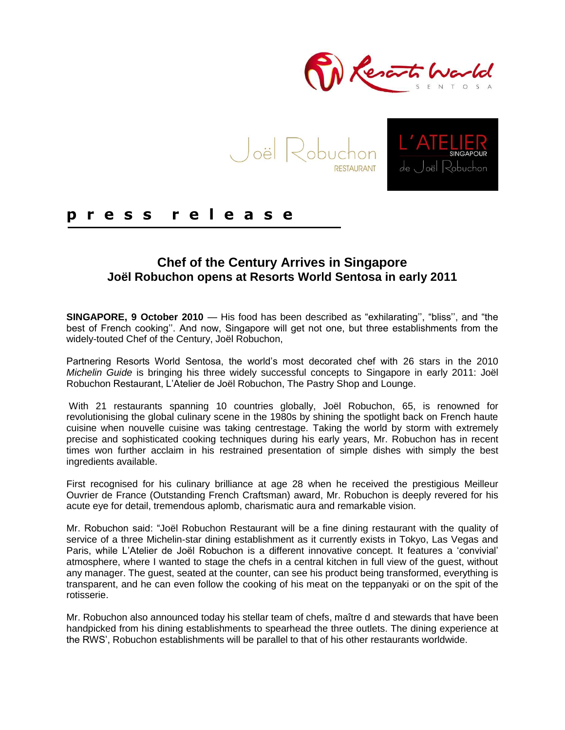



### **p r e s s r e l e a s e**

#### **Chef of the Century Arrives in Singapore Joël Robuchon opens at Resorts World Sentosa in early 2011**

**SINGAPORE, 9 October 2010** — His food has been described as "exhilarating", "bliss", and "the best of French cooking". And now, Singapore will get not one, but three establishments from the widely-touted Chef of the Century, Joël Robuchon,

Partnering Resorts World Sentosa, the world"s most decorated chef with 26 stars in the 2010 *Michelin Guide* is bringing his three widely successful concepts to Singapore in early 2011: Joël Robuchon Restaurant, L"Atelier de Joël Robuchon, The Pastry Shop and Lounge.

With 21 restaurants spanning 10 countries globally, Joël Robuchon, 65, is renowned for revolutionising the global culinary scene in the 1980s by shining the spotlight back on French haute cuisine when nouvelle cuisine was taking centrestage. Taking the world by storm with extremely precise and sophisticated cooking techniques during his early years, Mr. Robuchon has in recent times won further acclaim in his restrained presentation of simple dishes with simply the best ingredients available.

First recognised for his culinary brilliance at age 28 when he received the prestigious Meilleur Ouvrier de France (Outstanding French Craftsman) award, Mr. Robuchon is deeply revered for his acute eye for detail, tremendous aplomb, charismatic aura and remarkable vision.

Mr. Robuchon said: "Joël Robuchon Restaurant will be a fine dining restaurant with the quality of service of a three Michelin-star dining establishment as it currently exists in Tokyo, Las Vegas and Paris, while L"Atelier de Joël Robuchon is a different innovative concept. It features a "convivial" atmosphere, where I wanted to stage the chefs in a central kitchen in full view of the guest, without any manager. The guest, seated at the counter, can see his product being transformed, everything is transparent, and he can even follow the cooking of his meat on the teppanyaki or on the spit of the rotisserie.

Mr. Robuchon also announced today his stellar team of chefs, maître d and stewards that have been handpicked from his dining establishments to spearhead the three outlets. The dining experience at the RWS", Robuchon establishments will be parallel to that of his other restaurants worldwide.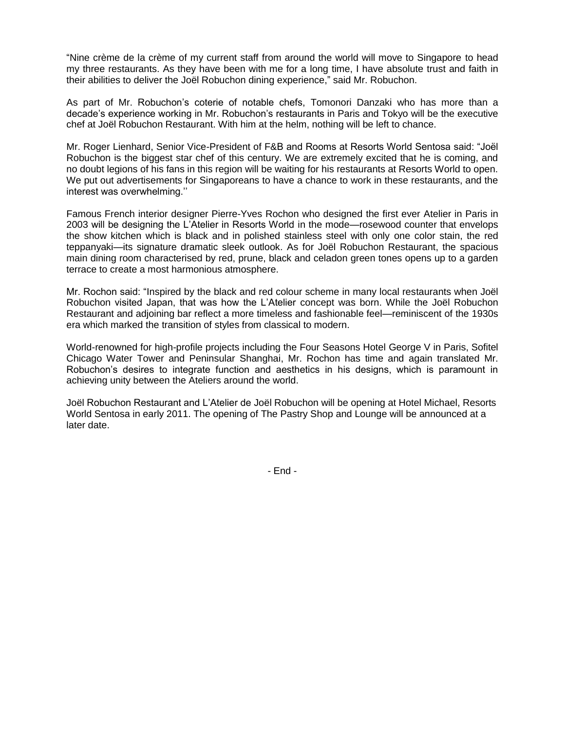"Nine crème de la crème of my current staff from around the world will move to Singapore to head my three restaurants. As they have been with me for a long time, I have absolute trust and faith in their abilities to deliver the Joël Robuchon dining experience," said Mr. Robuchon.

As part of Mr. Robuchon"s coterie of notable chefs, Tomonori Danzaki who has more than a decade"s experience working in Mr. Robuchon"s restaurants in Paris and Tokyo will be the executive chef at Joël Robuchon Restaurant. With him at the helm, nothing will be left to chance.

Mr. Roger Lienhard, Senior Vice-President of F&B and Rooms at Resorts World Sentosa said: "Joël Robuchon is the biggest star chef of this century. We are extremely excited that he is coming, and no doubt legions of his fans in this region will be waiting for his restaurants at Resorts World to open. We put out advertisements for Singaporeans to have a chance to work in these restaurants, and the interest was overwhelming.""

Famous French interior designer Pierre-Yves Rochon who designed the first ever Atelier in Paris in 2003 will be designing the L"Atelier in Resorts World in the mode—rosewood counter that envelops the show kitchen which is black and in polished stainless steel with only one color stain, the red teppanyaki—its signature dramatic sleek outlook. As for Joël Robuchon Restaurant, the spacious main dining room characterised by red, prune, black and celadon green tones opens up to a garden terrace to create a most harmonious atmosphere.

Mr. Rochon said: "Inspired by the black and red colour scheme in many local restaurants when Joël Robuchon visited Japan, that was how the L"Atelier concept was born. While the Joël Robuchon Restaurant and adjoining bar reflect a more timeless and fashionable feel—reminiscent of the 1930s era which marked the transition of styles from classical to modern.

World-renowned for high-profile projects including the Four Seasons Hotel George V in Paris, Sofitel Chicago Water Tower and Peninsular Shanghai, Mr. Rochon has time and again translated Mr. Robuchon"s desires to integrate function and aesthetics in his designs, which is paramount in achieving unity between the Ateliers around the world.

Joël Robuchon Restaurant and L"Atelier de Joël Robuchon will be opening at Hotel Michael, Resorts World Sentosa in early 2011. The opening of The Pastry Shop and Lounge will be announced at a later date.

- End -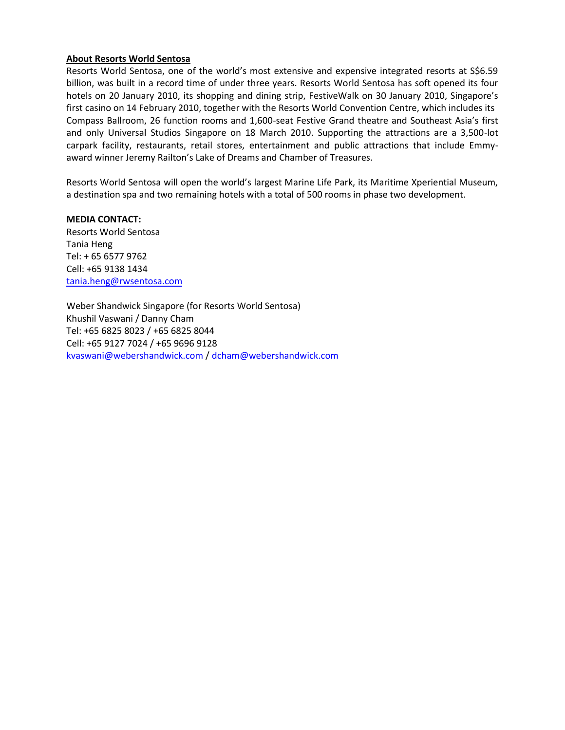#### **About Resorts World Sentosa**

Resorts World Sentosa, one of the world's most extensive and expensive integrated resorts at S\$6.59 billion, was built in a record time of under three years. Resorts World Sentosa has soft opened its four hotels on 20 January 2010, its shopping and dining strip, FestiveWalk on 30 January 2010, Singapore's first casino on 14 February 2010, together with the Resorts World Convention Centre, which includes its Compass Ballroom, 26 function rooms and 1,600-seat Festive Grand theatre and Southeast Asia's first and only Universal Studios Singapore on 18 March 2010. Supporting the attractions are a 3,500-lot carpark facility, restaurants, retail stores, entertainment and public attractions that include Emmyaward winner Jeremy Railton's Lake of Dreams and Chamber of Treasures.

Resorts World Sentosa will open the world's largest Marine Life Park, its Maritime Xperiential Museum, a destination spa and two remaining hotels with a total of 500 rooms in phase two development.

**MEDIA CONTACT:** Resorts World Sentosa Tania Heng Tel: + 65 6577 9762 Cell: +65 9138 1434 [tania.heng@rwsentosa.com](mailto:tania.heng@rwsentosa.com)

Weber Shandwick Singapore (for Resorts World Sentosa) Khushil Vaswani / Danny Cham Tel: +65 6825 8023 / +65 6825 8044 Cell: +65 9127 7024 / +65 9696 9128 kvaswani@webershandwick.com / dcham@webershandwick.com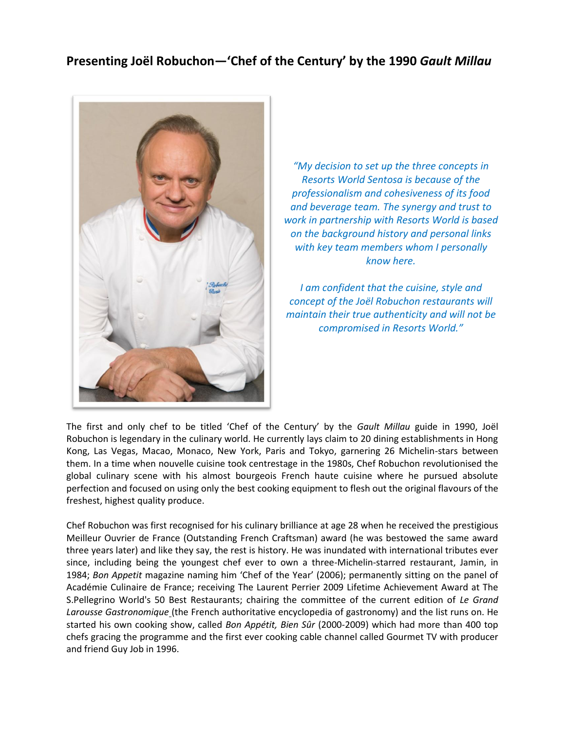### **Presenting Joël Robuchon—'Chef of the Century' by the 1990** *Gault Millau*



*"My decision to set up the three concepts in Resorts World Sentosa is because of the professionalism and cohesiveness of its food and beverage team. The synergy and trust to work in partnership with Resorts World is based on the background history and personal links with key team members whom I personally know here.*

*I am confident that the cuisine, style and concept of the Joël Robuchon restaurants will maintain their true authenticity and will not be compromised in Resorts World."*

The first and only chef to be titled 'Chef of the Century' by the *Gault Millau* guide in 1990, Joël Robuchon is legendary in the culinary world. He currently lays claim to 20 dining establishments in Hong Kong, Las Vegas, Macao, Monaco, New York, Paris and Tokyo, garnering 26 Michelin-stars between them. In a time when nouvelle cuisine took centrestage in the 1980s, Chef Robuchon revolutionised the global culinary scene with his almost bourgeois French haute cuisine where he pursued absolute perfection and focused on using only the best cooking equipment to flesh out the original flavours of the freshest, highest quality produce.

Chef Robuchon was first recognised for his culinary brilliance at age 28 when he received the prestigious Meilleur Ouvrier de France (Outstanding French Craftsman) award (he was bestowed the same award three years later) and like they say, the rest is history. He was inundated with international tributes ever since, including being the youngest chef ever to own a three-Michelin-starred restaurant, Jamin, in 1984; *Bon Appetit* magazine naming him 'Chef of the Year' (2006); permanently sitting on the panel of Académie Culinaire de France; receiving The Laurent Perrier 2009 Lifetime Achievement Award at The S.Pellegrino World's 50 Best Restaurants; chairing the committee of the current edition of *Le Grand Larousse Gastronomique* (the French authoritative encyclopedia of gastronomy) and the list runs on. He started his own cooking show, called *Bon Appétit, Bien Sûr* (2000-2009) which had more than 400 top chefs gracing the programme and the first ever cooking cable channel called Gourmet TV with producer and friend Guy Job in 1996.